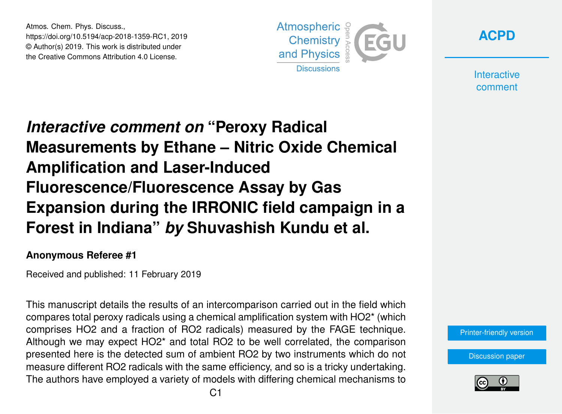Atmos. Chem. Phys. Discuss., https://doi.org/10.5194/acp-2018-1359-RC1, 2019 © Author(s) 2019. This work is distributed under the Creative Commons Attribution 4.0 License.



**[ACPD](https://www.atmos-chem-phys-discuss.net/)**

**Interactive** comment

## *Interactive comment on* **"Peroxy Radical Measurements by Ethane – Nitric Oxide Chemical Amplification and Laser-Induced Fluorescence/Fluorescence Assay by Gas Expansion during the IRRONIC field campaign in a Forest in Indiana"** *by* **Shuvashish Kundu et al.**

## **Anonymous Referee #1**

Received and published: 11 February 2019

This manuscript details the results of an intercomparison carried out in the field which compares total peroxy radicals using a chemical amplification system with HO2\* (which comprises HO2 and a fraction of RO2 radicals) measured by the FAGE technique. Although we may expect HO2\* and total RO2 to be well correlated, the comparison presented here is the detected sum of ambient RO2 by two instruments which do not measure different RO2 radicals with the same efficiency, and so is a tricky undertaking. The authors have employed a variety of models with differing chemical mechanisms to

[Printer-friendly version](https://www.atmos-chem-phys-discuss.net/acp-2018-1359/acp-2018-1359-RC1-print.pdf)

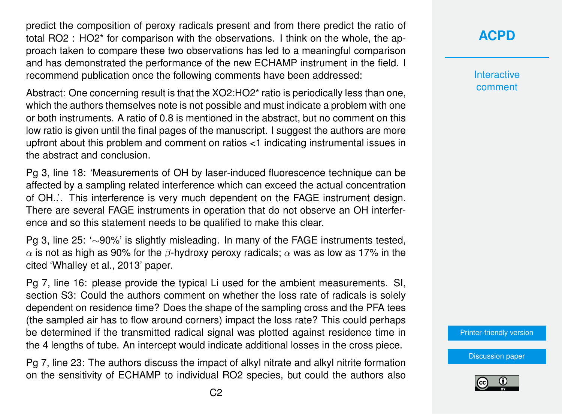predict the composition of peroxy radicals present and from there predict the ratio of total RO2 : HO2\* for comparison with the observations. I think on the whole, the approach taken to compare these two observations has led to a meaningful comparison and has demonstrated the performance of the new ECHAMP instrument in the field. I recommend publication once the following comments have been addressed:

Abstract: One concerning result is that the XO2:HO2\* ratio is periodically less than one, which the authors themselves note is not possible and must indicate a problem with one or both instruments. A ratio of 0.8 is mentioned in the abstract, but no comment on this low ratio is given until the final pages of the manuscript. I suggest the authors are more upfront about this problem and comment on ratios <1 indicating instrumental issues in the abstract and conclusion.

Pg 3, line 18: 'Measurements of OH by laser-induced fluorescence technique can be affected by a sampling related interference which can exceed the actual concentration of OH..'. This interference is very much dependent on the FAGE instrument design. There are several FAGE instruments in operation that do not observe an OH interference and so this statement needs to be qualified to make this clear.

Pg 3, line 25: '∼90%' is slightly misleading. In many of the FAGE instruments tested,  $\alpha$  is not as high as 90% for the  $\beta$ -hydroxy peroxy radicals;  $\alpha$  was as low as 17% in the cited 'Whalley et al., 2013' paper.

Pg 7, line 16: please provide the typical Li used for the ambient measurements. SI, section S3: Could the authors comment on whether the loss rate of radicals is solely dependent on residence time? Does the shape of the sampling cross and the PFA tees (the sampled air has to flow around corners) impact the loss rate? This could perhaps be determined if the transmitted radical signal was plotted against residence time in the 4 lengths of tube. An intercept would indicate additional losses in the cross piece.

Pg 7, line 23: The authors discuss the impact of alkyl nitrate and alkyl nitrite formation on the sensitivity of ECHAMP to individual RO2 species, but could the authors also **Interactive** comment

[Printer-friendly version](https://www.atmos-chem-phys-discuss.net/acp-2018-1359/acp-2018-1359-RC1-print.pdf)

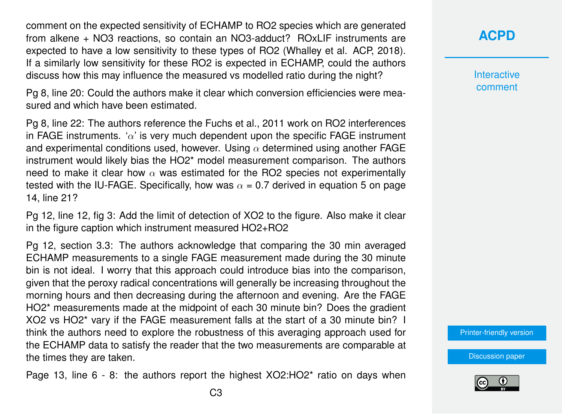comment on the expected sensitivity of ECHAMP to RO2 species which are generated from alkene + NO3 reactions, so contain an NO3-adduct? ROxLIF instruments are expected to have a low sensitivity to these types of RO2 (Whalley et al. ACP, 2018). If a similarly low sensitivity for these RO2 is expected in ECHAMP, could the authors discuss how this may influence the measured vs modelled ratio during the night?

Pg 8, line 20: Could the authors make it clear which conversion efficiencies were measured and which have been estimated.

Pg 8, line 22: The authors reference the Fuchs et al., 2011 work on RO2 interferences in FAGE instruments. ' $\alpha$ ' is very much dependent upon the specific FAGE instrument and experimental conditions used, however. Using  $\alpha$  determined using another FAGE instrument would likely bias the HO2\* model measurement comparison. The authors need to make it clear how  $\alpha$  was estimated for the RO2 species not experimentally tested with the IU-FAGE. Specifically, how was  $\alpha = 0.7$  derived in equation 5 on page 14, line 21?

Pg 12, line 12, fig 3: Add the limit of detection of XO2 to the figure. Also make it clear in the figure caption which instrument measured HO2+RO2

Pg 12, section 3.3: The authors acknowledge that comparing the 30 min averaged ECHAMP measurements to a single FAGE measurement made during the 30 minute bin is not ideal. I worry that this approach could introduce bias into the comparison, given that the peroxy radical concentrations will generally be increasing throughout the morning hours and then decreasing during the afternoon and evening. Are the FAGE HO2\* measurements made at the midpoint of each 30 minute bin? Does the gradient XO2 vs HO2\* vary if the FAGE measurement falls at the start of a 30 minute bin? I think the authors need to explore the robustness of this averaging approach used for the ECHAMP data to satisfy the reader that the two measurements are comparable at the times they are taken.

Page 13, line 6 - 8: the authors report the highest XO2:HO2\* ratio on days when

## **[ACPD](https://www.atmos-chem-phys-discuss.net/)**

**Interactive** comment

[Printer-friendly version](https://www.atmos-chem-phys-discuss.net/acp-2018-1359/acp-2018-1359-RC1-print.pdf)

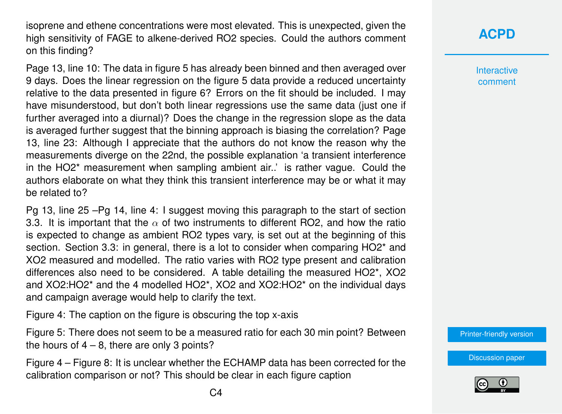isoprene and ethene concentrations were most elevated. This is unexpected, given the high sensitivity of FAGE to alkene-derived RO2 species. Could the authors comment on this finding?

Page 13, line 10: The data in figure 5 has already been binned and then averaged over 9 days. Does the linear regression on the figure 5 data provide a reduced uncertainty relative to the data presented in figure 6? Errors on the fit should be included. I may have misunderstood, but don't both linear regressions use the same data (just one if further averaged into a diurnal)? Does the change in the regression slope as the data is averaged further suggest that the binning approach is biasing the correlation? Page 13, line 23: Although I appreciate that the authors do not know the reason why the measurements diverge on the 22nd, the possible explanation 'a transient interference in the HO2\* measurement when sampling ambient air..' is rather vague. Could the authors elaborate on what they think this transient interference may be or what it may be related to?

Pg 13, line 25 –Pg 14, line 4: I suggest moving this paragraph to the start of section 3.3. It is important that the  $\alpha$  of two instruments to different RO2, and how the ratio is expected to change as ambient RO2 types vary, is set out at the beginning of this section. Section 3.3: in general, there is a lot to consider when comparing HO2<sup>\*</sup> and XO2 measured and modelled. The ratio varies with RO2 type present and calibration differences also need to be considered. A table detailing the measured HO2\*, XO2 and XO2:HO2\* and the 4 modelled HO2\*, XO2 and XO2:HO2\* on the individual days and campaign average would help to clarify the text.

Figure 4: The caption on the figure is obscuring the top x-axis

Figure 5: There does not seem to be a measured ratio for each 30 min point? Between the hours of  $4 - 8$ , there are only 3 points?

Figure 4 – Figure 8: It is unclear whether the ECHAMP data has been corrected for the calibration comparison or not? This should be clear in each figure caption

Interactive comment

[Printer-friendly version](https://www.atmos-chem-phys-discuss.net/acp-2018-1359/acp-2018-1359-RC1-print.pdf)